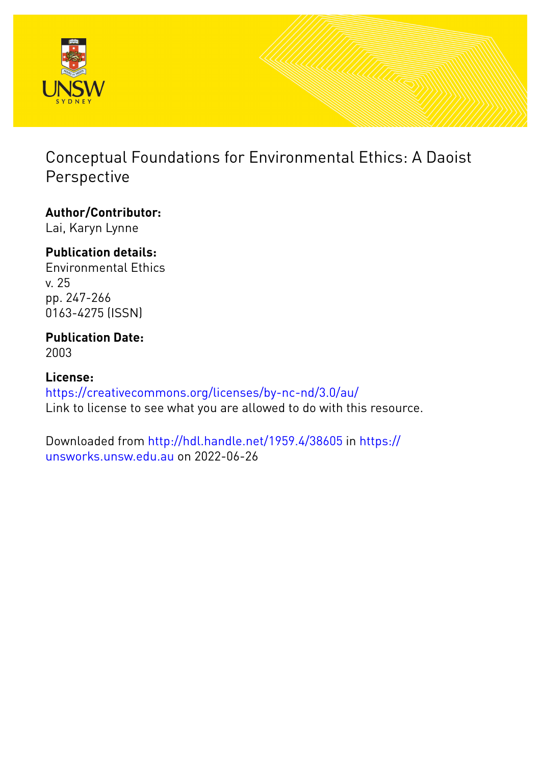

## Conceptual Foundations for Environmental Ethics: A Daoist Perspective

# **Author/Contributor:**

Lai, Karyn Lynne

### **Publication details:**

Environmental Ethics v. 25 pp. 247-266 0163-4275 (ISSN)

### **Publication Date:** 2003

### **License:**

<https://creativecommons.org/licenses/by-nc-nd/3.0/au/> Link to license to see what you are allowed to do with this resource.

Downloaded from <http://hdl.handle.net/1959.4/38605> in [https://](https://unsworks.unsw.edu.au) [unsworks.unsw.edu.au](https://unsworks.unsw.edu.au) on 2022-06-26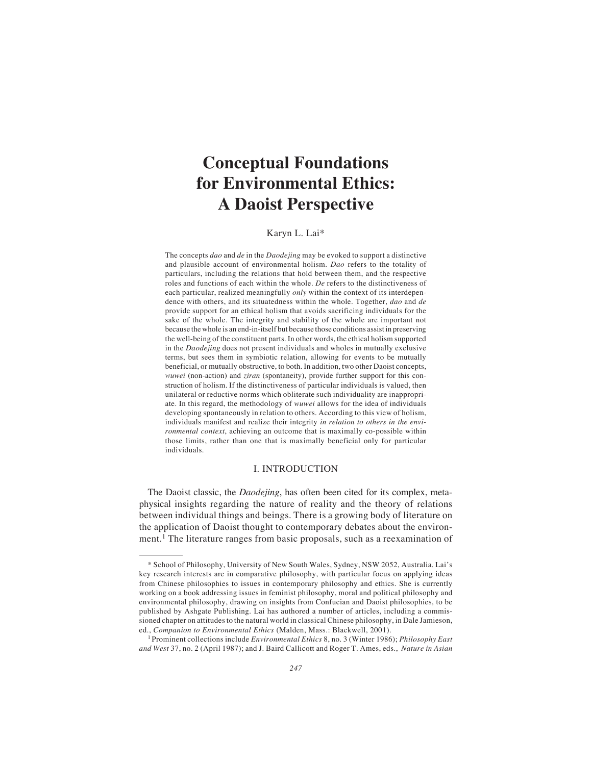### **Conceptual Foundations for Environmental Ethics: A Daoist Perspective**

Karyn L. Lai\*

The concepts *dao* and *de* in the *Daodejing* may be evoked to support a distinctive and plausible account of environmental holism. *Dao* refers to the totality of particulars, including the relations that hold between them, and the respective roles and functions of each within the whole. *De* refers to the distinctiveness of each particular, realized meaningfully *only* within the context of its interdependence with others, and its situatedness within the whole. Together, *dao* and *de* provide support for an ethical holism that avoids sacrificing individuals for the sake of the whole. The integrity and stability of the whole are important not because the whole is an end-in-itself but because those conditions assist in preserving the well-being of the constituent parts. In other words, the ethical holism supported in the *Daodejing* does not present individuals and wholes in mutually exclusive terms, but sees them in symbiotic relation, allowing for events to be mutually beneficial, or mutually obstructive, to both. In addition, two other Daoist concepts, *wuwei* (non-action) and *ziran* (spontaneity), provide further support for this construction of holism. If the distinctiveness of particular individuals is valued, then unilateral or reductive norms which obliterate such individuality are inappropriate. In this regard, the methodology of *wuwei* allows for the idea of individuals developing spontaneously in relation to others. According to this view of holism, individuals manifest and realize their integrity *in relation to others in the environmental context*, achieving an outcome that is maximally co-possible within those limits, rather than one that is maximally beneficial only for particular individuals.

#### I. INTRODUCTION

The Daoist classic, the *Daodejing*, has often been cited for its complex, metaphysical insights regarding the nature of reality and the theory of relations between individual things and beings. There is a growing body of literature on the application of Daoist thought to contemporary debates about the environment.<sup>1</sup> The literature ranges from basic proposals, such as a reexamination of

<sup>\*</sup> School of Philosophy, University of New South Wales, Sydney, NSW 2052, Australia. Lai's key research interests are in comparative philosophy, with particular focus on applying ideas from Chinese philosophies to issues in contemporary philosophy and ethics. She is currently working on a book addressing issues in feminist philosophy, moral and political philosophy and environmental philosophy, drawing on insights from Confucian and Daoist philosophies, to be published by Ashgate Publishing. Lai has authored a number of articles, including a commissioned chapter on attitudes to the natural world in classical Chinese philosophy, in Dale Jamieson, ed., *Companion to Environmental Ethics* (Malden, Mass.: Blackwell, 2001).

<sup>1</sup> Prominent collections include *Environmental Ethics* 8, no. 3 (Winter 1986); *Philosophy East and West* 37, no. 2 (April 1987); and J. Baird Callicott and Roger T. Ames, eds., *Nature in Asian*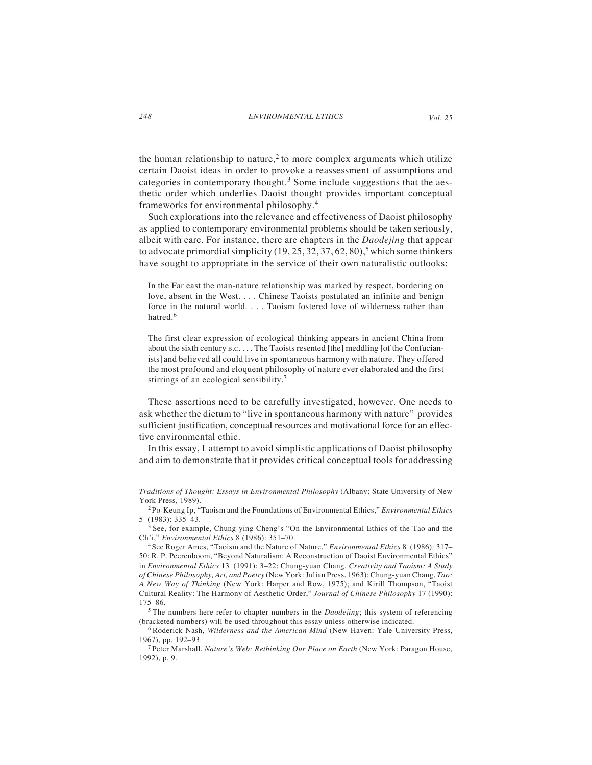the human relationship to nature,<sup>2</sup> to more complex arguments which utilize certain Daoist ideas in order to provoke a reassessment of assumptions and categories in contemporary thought.<sup>3</sup> Some include suggestions that the aesthetic order which underlies Daoist thought provides important conceptual frameworks for environmental philosophy.<sup>4</sup>

Such explorations into the relevance and effectiveness of Daoist philosophy as applied to contemporary environmental problems should be taken seriously, albeit with care. For instance, there are chapters in the *Daodejing* that appear to advocate primordial simplicity  $(19, 25, 32, 37, 62, 80)$ ,<sup>5</sup> which some thinkers have sought to appropriate in the service of their own naturalistic outlooks:

In the Far east the man-nature relationship was marked by respect, bordering on love, absent in the West. . . . Chinese Taoists postulated an infinite and benign force in the natural world. . . . Taoism fostered love of wilderness rather than hatred.<sup>6</sup>

The first clear expression of ecological thinking appears in ancient China from about the sixth century B.C. . . . The Taoists resented [the] meddling [of the Confucianists] and believed all could live in spontaneous harmony with nature. They offered the most profound and eloquent philosophy of nature ever elaborated and the first stirrings of an ecological sensibility.<sup>7</sup>

These assertions need to be carefully investigated, however. One needs to ask whether the dictum to "live in spontaneous harmony with nature" provides sufficient justification, conceptual resources and motivational force for an effective environmental ethic.

In this essay, I attempt to avoid simplistic applications of Daoist philosophy and aim to demonstrate that it provides critical conceptual tools for addressing

5 The numbers here refer to chapter numbers in the *Daodejing*; this system of referencing (bracketed numbers) will be used throughout this essay unless otherwise indicated.

*Traditions of Thought: Essays in Environmental Philosophy* (Albany: State University of New York Press, 1989).

<sup>2</sup> Po-Keung Ip, "Taoism and the Foundations of Environmental Ethics," *Environmental Ethics* 5 (1983): 335–43.

<sup>3</sup> See, for example, Chung-ying Cheng's "On the Environmental Ethics of the Tao and the Ch'i," *Environmental Ethics* 8 (1986): 351–70.

<sup>4</sup> See Roger Ames, "Taoism and the Nature of Nature," *Environmental Ethics* 8 (1986): 317– 50; R. P. Peerenboom, "Beyond Naturalism: A Reconstruction of Daoist Environmental Ethics" in *Environmental Ethics* 13 (1991): 3–22; Chung-yuan Chang, *Creativity and Taoism: A Study of Chinese Philosophy, Art, and Poetry* (New York: Julian Press, 1963); Chung-yuan Chang, *Tao: A New Way of Thinking* (New York: Harper and Row, 1975); and Kirill Thompson, "Taoist Cultural Reality: The Harmony of Aesthetic Order," *Journal of Chinese Philosophy* 17 (1990): 175–86.

<sup>6</sup> Roderick Nash, *Wilderness and the American Mind* (New Haven: Yale University Press, 1967), pp. 192–93.

<sup>7</sup> Peter Marshall, *Nature's Web: Rethinking Our Place on Earth* (New York: Paragon House, 1992), p. 9.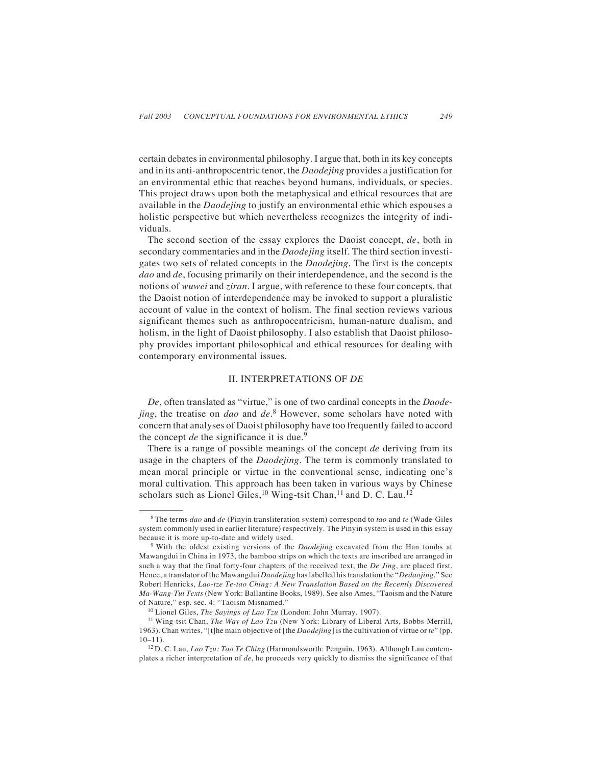certain debates in environmental philosophy. I argue that, both in its key concepts and in its anti-anthropocentric tenor, the *Daodejing* provides a justification for an environmental ethic that reaches beyond humans, individuals, or species. This project draws upon both the metaphysical and ethical resources that are available in the *Daodejing* to justify an environmental ethic which espouses a holistic perspective but which nevertheless recognizes the integrity of individuals.

The second section of the essay explores the Daoist concept, *de*, both in secondary commentaries and in the *Daodejing* itself. The third section investigates two sets of related concepts in the *Daodejing*. The first is the concepts *dao* and *de*, focusing primarily on their interdependence, and the second is the notions of *wuwei* and *ziran*. I argue, with reference to these four concepts, that the Daoist notion of interdependence may be invoked to support a pluralistic account of value in the context of holism. The final section reviews various significant themes such as anthropocentricism, human-nature dualism, and holism, in the light of Daoist philosophy. I also establish that Daoist philosophy provides important philosophical and ethical resources for dealing with contemporary environmental issues.

#### II. INTERPRETATIONS OF *DE*

*De*, often translated as "virtue," is one of two cardinal concepts in the *Daodejing*, the treatise on *dao* and *de*. 8 However, some scholars have noted with concern that analyses of Daoist philosophy have too frequently failed to accord the concept *de* the significance it is due.<sup>9</sup>

There is a range of possible meanings of the concept *de* deriving from its usage in the chapters of the *Daodejing*. The term is commonly translated to mean moral principle or virtue in the conventional sense, indicating one's moral cultivation. This approach has been taken in various ways by Chinese scholars such as Lionel Giles,<sup>10</sup> Wing-tsit Chan,<sup>11</sup> and D. C. Lau.<sup>12</sup>

<sup>08</sup> The terms *dao* and *de* (Pinyin transliteration system) correspond to *tao* and *te* (Wade-Giles system commonly used in earlier literature) respectively. The Pinyin system is used in this essay because it is more up-to-date and widely used.

<sup>09</sup> With the oldest existing versions of the *Daodejing* excavated from the Han tombs at Mawangdui in China in 1973, the bamboo strips on which the texts are inscribed are arranged in such a way that the final forty-four chapters of the received text, the *De Jing*, are placed first. Hence, a translator of the Mawangdui *Daodejing* has labelled his translation the "*Dedaojing.*" See Robert Henricks, *Lao-tze Te-tao Ching: A New Translation Based on the Recently Discovered Ma-Wang-Tui Texts* (New York: Ballantine Books, 1989). See also Ames, "Taoism and the Nature of Nature," esp. sec. 4: "Taoism Misnamed."

<sup>10</sup> Lionel Giles, *The Sayings of Lao Tzu* (London: John Murray. 1907).

<sup>11</sup> Wing-tsit Chan, *The Way of Lao Tzu* (New York: Library of Liberal Arts, Bobbs-Merrill, 1963). Chan writes, "[t]he main objective of [the *Daodejing*] is the cultivation of virtue or *te*" (pp.  $10-11$ ).

<sup>12</sup> D. C. Lau, *Lao Tzu: Tao Te Ching* (Harmondsworth: Penguin, 1963)*.* Although Lau contemplates a richer interpretation of *de*, he proceeds very quickly to dismiss the significance of that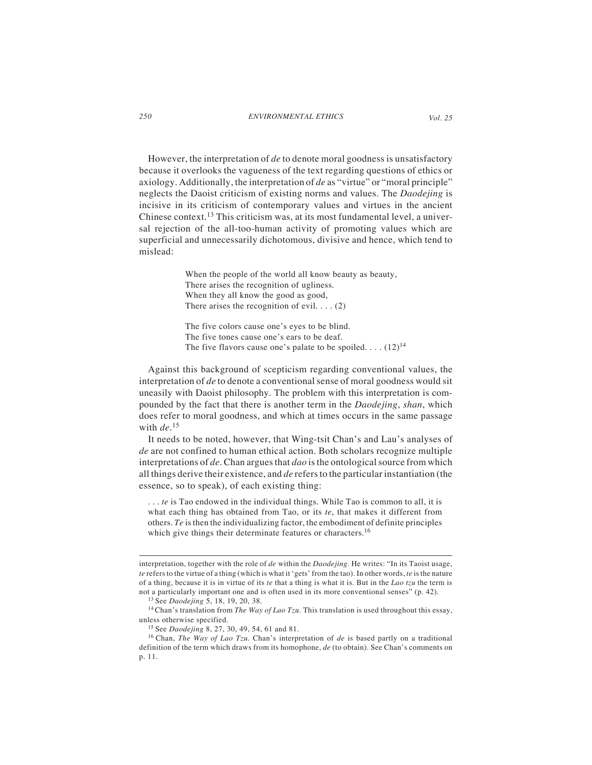#### *250 ENVIRONMENTAL ETHICS Vol. 25*

However, the interpretation of *de* to denote moral goodness is unsatisfactory because it overlooks the vagueness of the text regarding questions of ethics or axiology. Additionally, the interpretation of *de* as "virtue" or "moral principle" neglects the Daoist criticism of existing norms and values. The *Daodejing* is incisive in its criticism of contemporary values and virtues in the ancient Chinese context.<sup>13</sup> This criticism was, at its most fundamental level, a universal rejection of the all-too-human activity of promoting values which are superficial and unnecessarily dichotomous, divisive and hence, which tend to mislead:

> When the people of the world all know beauty as beauty, There arises the recognition of ugliness. When they all know the good as good, There arises the recognition of evil.  $\ldots$  (2)

The five colors cause one's eyes to be blind. The five tones cause one's ears to be deaf. The five flavors cause one's palate to be spoiled. . . .  $(12)^{14}$ 

Against this background of scepticism regarding conventional values, the interpretation of *de* to denote a conventional sense of moral goodness would sit uneasily with Daoist philosophy. The problem with this interpretation is compounded by the fact that there is another term in the *Daodejing*, *shan*, which does refer to moral goodness, and which at times occurs in the same passage with *de*. 15

It needs to be noted, however, that Wing-tsit Chan's and Lau's analyses of *de* are not confined to human ethical action. Both scholars recognize multiple interpretations of *de*. Chan argues that *dao* is the ontological source from which all things derive their existence, and *de* refers to the particular instantiation (the essence, so to speak), of each existing thing:

. . . *te* is Tao endowed in the individual things. While Tao is common to all, it is what each thing has obtained from Tao, or its *te*, that makes it different from others. *Te* is then the individualizing factor, the embodiment of definite principles which give things their determinate features or characters.<sup>16</sup>

interpretation, together with the role of *de* within the *Daodejing*. He writes: "In its Taoist usage, *te* refers to the virtue of a thing (which is what it 'gets' from the tao). In other words, *te* is the nature of a thing, because it is in virtue of its *te* that a thing is what it is. But in the *Lao tzu* the term is not a particularly important one and is often used in its more conventional senses" (p. 42).

<sup>13</sup> See *Daodejing* 5, 18, 19, 20, 38.

<sup>14</sup> Chan's translation from *The Way of Lao Tzu*. This translation is used throughout this essay, unless otherwise specified.

<sup>15</sup> See *Daodejing* 8, 27, 30, 49, 54, 61 and 81.

<sup>16</sup> Chan, *The Way of Lao Tzu*. Chan's interpretation of *de* is based partly on a traditional definition of the term which draws from its homophone, *de* (to obtain). See Chan's comments on p. 11.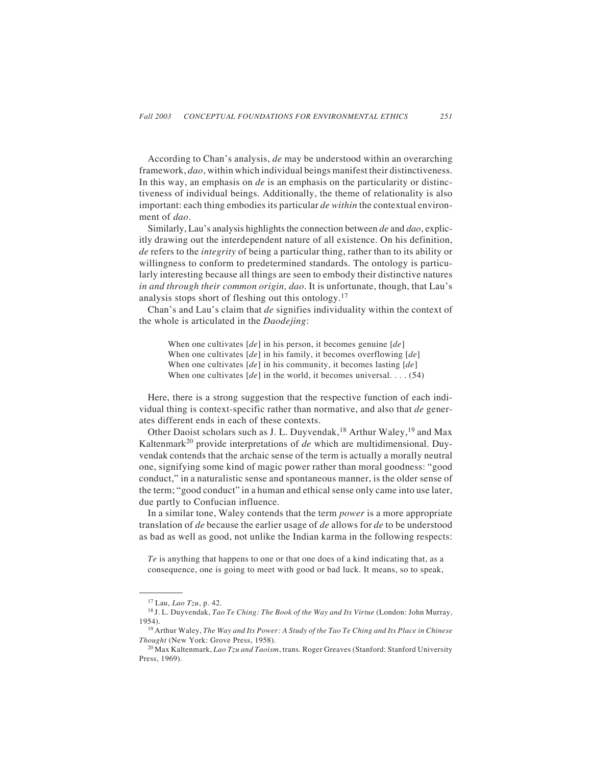According to Chan's analysis, *de* may be understood within an overarching framework, *dao*, within which individual beings manifest their distinctiveness. In this way, an emphasis on *de* is an emphasis on the particularity or distinctiveness of individual beings. Additionally, the theme of relationality is also important: each thing embodies its particular *de within* the contextual environment of *dao*.

Similarly, Lau's analysis highlights the connection between *de* and *dao*, explicitly drawing out the interdependent nature of all existence. On his definition, *de* refers to the *integrity* of being a particular thing, rather than to its ability or willingness to conform to predetermined standards. The ontology is particularly interesting because all things are seen to embody their distinctive natures *in and through their common origin, dao*. It is unfortunate, though, that Lau's analysis stops short of fleshing out this ontology.<sup>17</sup>

Chan's and Lau's claim that *de* signifies individuality within the context of the whole is articulated in the *Daodejing*:

When one cultivates [*de*] in his person, it becomes genuine [*de*] When one cultivates [*de*] in his family, it becomes overflowing [*de*] When one cultivates [*de*] in his community, it becomes lasting [*de*] When one cultivates [*de*] in the world, it becomes universal. . . . (54)

Here, there is a strong suggestion that the respective function of each individual thing is context-specific rather than normative, and also that *de* generates different ends in each of these contexts.

Other Daoist scholars such as J. L. Duyvendak,<sup>18</sup> Arthur Waley,<sup>19</sup> and Max Kaltenmark<sup>20</sup> provide interpretations of *de* which are multidimensional. Duyvendak contends that the archaic sense of the term is actually a morally neutral one, signifying some kind of magic power rather than moral goodness: "good conduct," in a naturalistic sense and spontaneous manner, is the older sense of the term; "good conduct" in a human and ethical sense only came into use later, due partly to Confucian influence.

In a similar tone, Waley contends that the term *power* is a more appropriate translation of *de* because the earlier usage of *de* allows for *de* to be understood as bad as well as good, not unlike the Indian karma in the following respects:

*Te* is anything that happens to one or that one does of a kind indicating that, as a consequence, one is going to meet with good or bad luck. It means, so to speak,

<sup>17</sup> Lau, *Lao Tzu*, p. 42.

<sup>18</sup> J. L. Duyvendak, *Tao Te Ching: The Book of the Way and Its Virtue* (London: John Murray, 1954).

<sup>19</sup> Arthur Waley, *The Way and Its Power: A Study of the Tao Te Ching and Its Place in Chinese Thought* (New York: Grove Press, 1958).

<sup>20</sup> Max Kaltenmark, *Lao Tzu and Taoism*, trans. Roger Greaves (Stanford: Stanford University Press, 1969).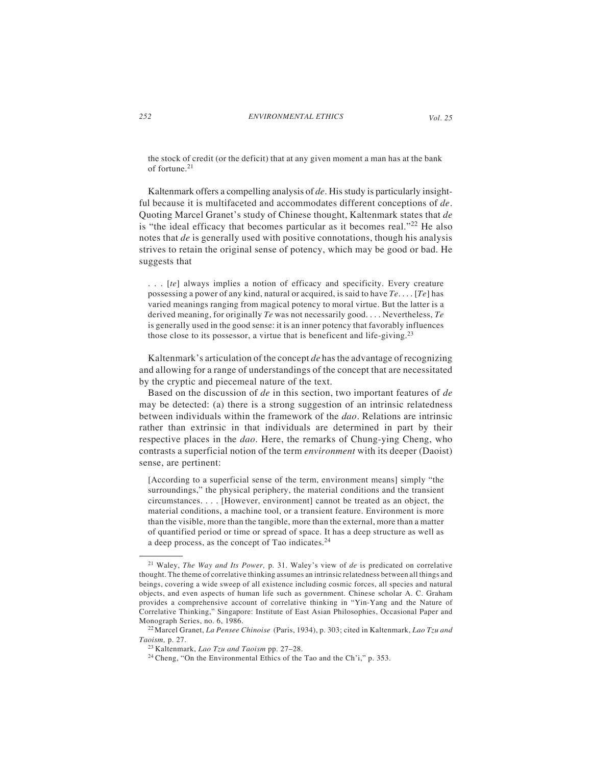the stock of credit (or the deficit) that at any given moment a man has at the bank of fortune.<sup>21</sup>

Kaltenmark offers a compelling analysis of *de*. His study is particularly insightful because it is multifaceted and accommodates different conceptions of *de*. Quoting Marcel Granet's study of Chinese thought, Kaltenmark states that *de* is "the ideal efficacy that becomes particular as it becomes real."22 He also notes that *de* is generally used with positive connotations, though his analysis strives to retain the original sense of potency, which may be good or bad. He suggests that

. . . [*te*] always implies a notion of efficacy and specificity. Every creature possessing a power of any kind, natural or acquired, is said to have *Te.* . . . [*Te*] has varied meanings ranging from magical potency to moral virtue. But the latter is a derived meaning, for originally *Te* was not necessarily good. . . . Nevertheless, *Te* is generally used in the good sense: it is an inner potency that favorably influences those close to its possessor, a virtue that is beneficent and life-giving.<sup>23</sup>

Kaltenmark's articulation of the concept *de* has the advantage of recognizing and allowing for a range of understandings of the concept that are necessitated by the cryptic and piecemeal nature of the text.

Based on the discussion of *de* in this section, two important features of *de* may be detected: (a) there is a strong suggestion of an intrinsic relatedness between individuals within the framework of the *dao*. Relations are intrinsic rather than extrinsic in that individuals are determined in part by their respective places in the *dao*. Here, the remarks of Chung-ying Cheng, who contrasts a superficial notion of the term *environment* with its deeper (Daoist) sense, are pertinent:

[According to a superficial sense of the term, environment means] simply "the surroundings," the physical periphery, the material conditions and the transient circumstances. . . . [However, environment] cannot be treated as an object, the material conditions, a machine tool, or a transient feature. Environment is more than the visible, more than the tangible, more than the external, more than a matter of quantified period or time or spread of space. It has a deep structure as well as a deep process, as the concept of Tao indicates.<sup>24</sup>

<sup>21</sup> Waley, *The Way and Its Power,* p. 31. Waley's view of *de* is predicated on correlative thought. The theme of correlative thinking assumes an intrinsic relatedness between all things and beings, covering a wide sweep of all existence including cosmic forces, all species and natural objects, and even aspects of human life such as government. Chinese scholar A. C. Graham provides a comprehensive account of correlative thinking in "Yin-Yang and the Nature of Correlative Thinking," Singapore: Institute of East Asian Philosophies, Occasional Paper and Monograph Series, no. 6, 1986.

<sup>22</sup> Marcel Granet, *La Pensee Chinoise* (Paris, 1934), p. 303; cited in Kaltenmark, *Lao Tzu and Taoism,* p. 27.

<sup>23</sup> Kaltenmark, *Lao Tzu and Taoism* pp. 27–28.

<sup>&</sup>lt;sup>24</sup> Cheng, "On the Environmental Ethics of the Tao and the Ch'i," p. 353.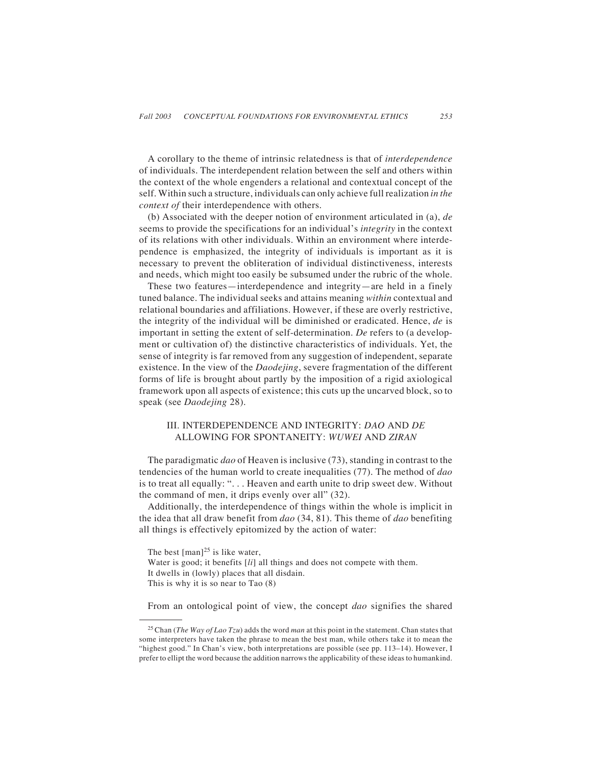A corollary to the theme of intrinsic relatedness is that of *interdependence* of individuals. The interdependent relation between the self and others within the context of the whole engenders a relational and contextual concept of the self. Within such a structure, individuals can only achieve full realization *in the context of* their interdependence with others.

(b) Associated with the deeper notion of environment articulated in (a), *de* seems to provide the specifications for an individual's *integrity* in the context of its relations with other individuals. Within an environment where interdependence is emphasized, the integrity of individuals is important as it is necessary to prevent the obliteration of individual distinctiveness, interests and needs, which might too easily be subsumed under the rubric of the whole.

These two features—interdependence and integrity—are held in a finely tuned balance. The individual seeks and attains meaning *within* contextual and relational boundaries and affiliations. However, if these are overly restrictive, the integrity of the individual will be diminished or eradicated. Hence, *de* is important in setting the extent of self-determination. *De* refers to (a development or cultivation of) the distinctive characteristics of individuals. Yet, the sense of integrity is far removed from any suggestion of independent, separate existence. In the view of the *Daodejing*, severe fragmentation of the different forms of life is brought about partly by the imposition of a rigid axiological framework upon all aspects of existence; this cuts up the uncarved block, so to speak (see *Daodejing* 28).

#### III. INTERDEPENDENCE AND INTEGRITY: *DAO* AND *DE* ALLOWING FOR SPONTANEITY: *WUWEI* AND *ZIRAN*

The paradigmatic *dao* of Heaven is inclusive (73), standing in contrast to the tendencies of the human world to create inequalities (77). The method of *dao* is to treat all equally: ". . . Heaven and earth unite to drip sweet dew. Without the command of men, it drips evenly over all" (32).

Additionally, the interdependence of things within the whole is implicit in the idea that all draw benefit from *dao* (34, 81). This theme of *dao* benefiting all things is effectively epitomized by the action of water:

Water is good; it benefits [*li*] all things and does not compete with them. It dwells in (lowly) places that all disdain. This is why it is so near to Tao (8)

From an ontological point of view, the concept *dao* signifies the shared

The best  $[man]^{25}$  is like water,

<sup>25</sup> Chan (*The Way of Lao Tzu*) adds the word *man* at this point in the statement. Chan states that some interpreters have taken the phrase to mean the best man, while others take it to mean the "highest good." In Chan's view, both interpretations are possible (see pp. 113–14). However, I prefer to ellipt the word because the addition narrows the applicability of these ideas to humankind.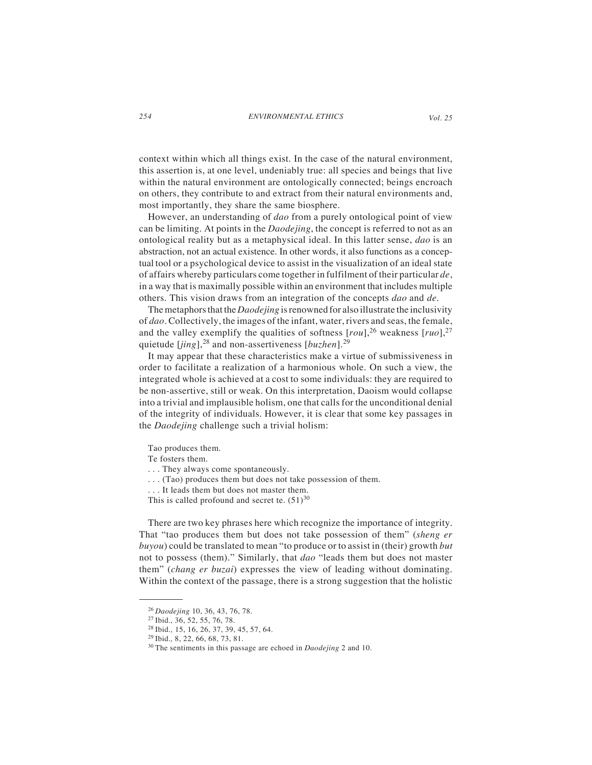context within which all things exist. In the case of the natural environment, this assertion is, at one level, undeniably true: all species and beings that live within the natural environment are ontologically connected; beings encroach on others, they contribute to and extract from their natural environments and, most importantly, they share the same biosphere.

However, an understanding of *dao* from a purely ontological point of view can be limiting. At points in the *Daodejing*, the concept is referred to not as an ontological reality but as a metaphysical ideal. In this latter sense, *dao* is an abstraction, not an actual existence. In other words, it also functions as a conceptual tool or a psychological device to assist in the visualization of an ideal state of affairs whereby particulars come together in fulfilment of their particular *de*, in a way that is maximally possible within an environment that includes multiple others. This vision draws from an integration of the concepts *dao* and *de*.

The metaphors that the *Daodejing* is renowned for also illustrate the inclusivity of *dao*. Collectively, the images of the infant, water, rivers and seas, the female, and the valley exemplify the qualities of softness  $[rou]$ , <sup>26</sup> weakness  $[ruo]$ , <sup>27</sup> quietude [*jing*],28 and non-assertiveness [*buzhen*].<sup>29</sup>

It may appear that these characteristics make a virtue of submissiveness in order to facilitate a realization of a harmonious whole. On such a view, the integrated whole is achieved at a cost to some individuals: they are required to be non-assertive, still or weak. On this interpretation, Daoism would collapse into a trivial and implausible holism, one that calls for the unconditional denial of the integrity of individuals. However, it is clear that some key passages in the *Daodejing* challenge such a trivial holism:

Tao produces them.

Te fosters them.

- . . . They always come spontaneously.
- . . . (Tao) produces them but does not take possession of them.
- . . . It leads them but does not master them.
- This is called profound and secret te.  $(51)^{30}$

There are two key phrases here which recognize the importance of integrity. That "tao produces them but does not take possession of them" (*sheng er buyou*) could be translated to mean "to produce or to assist in (their) growth *but* not to possess (them)." Similarly, that *dao* "leads them but does not master them" (*chang er buzai*) expresses the view of leading without dominating. Within the context of the passage, there is a strong suggestion that the holistic

<sup>26</sup>*Daodejing* 10, 36, 43, 76, 78.

<sup>27</sup> Ibid.*,* 36, 52, 55, 76, 78.

<sup>28</sup> Ibid.*,* 15, 16, 26, 37, 39, 45, 57, 64.

<sup>29</sup> Ibid.*,* 8, 22, 66, 68, 73, 81.

<sup>30</sup> The sentiments in this passage are echoed in *Daodejing* 2 and 10.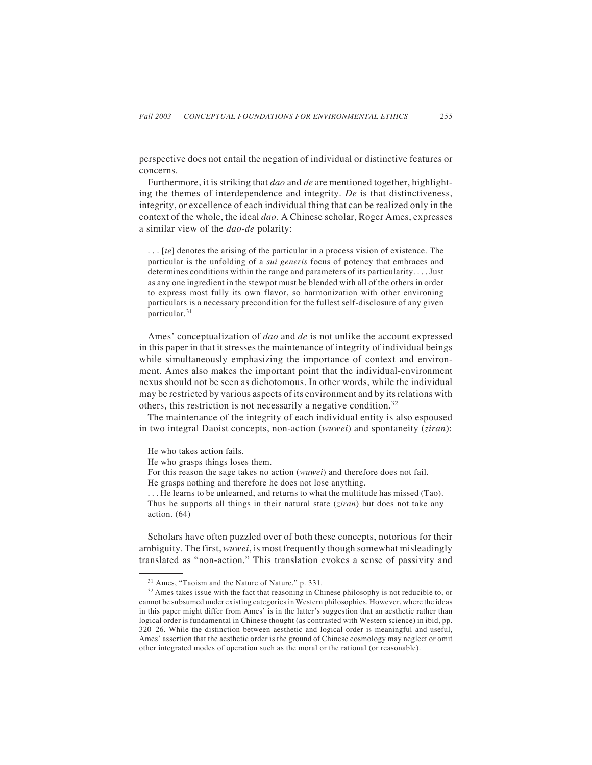perspective does not entail the negation of individual or distinctive features or concerns.

Furthermore, it is striking that *dao* and *de* are mentioned together, highlighting the themes of interdependence and integrity. *De* is that distinctiveness, integrity, or excellence of each individual thing that can be realized only in the context of the whole, the ideal *dao*. A Chinese scholar, Roger Ames, expresses a similar view of the *dao*-*de* polarity:

. . . [*te*] denotes the arising of the particular in a process vision of existence. The particular is the unfolding of a *sui generis* focus of potency that embraces and determines conditions within the range and parameters of its particularity. . . . Just as any one ingredient in the stewpot must be blended with all of the others in order to express most fully its own flavor, so harmonization with other environing particulars is a necessary precondition for the fullest self-disclosure of any given particular.<sup>31</sup>

Ames' conceptualization of *dao* and *de* is not unlike the account expressed in this paper in that it stresses the maintenance of integrity of individual beings while simultaneously emphasizing the importance of context and environment. Ames also makes the important point that the individual-environment nexus should not be seen as dichotomous. In other words, while the individual may be restricted by various aspects of its environment and by its relations with others, this restriction is not necessarily a negative condition.<sup>32</sup>

The maintenance of the integrity of each individual entity is also espoused in two integral Daoist concepts, non-action (*wuwei*) and spontaneity (*ziran*):

For this reason the sage takes no action (*wuwei*) and therefore does not fail. He grasps nothing and therefore he does not lose anything.

. . . He learns to be unlearned, and returns to what the multitude has missed (Tao). Thus he supports all things in their natural state (*ziran*) but does not take any action. (64)

Scholars have often puzzled over of both these concepts, notorious for their ambiguity. The first, *wuwei*, is most frequently though somewhat misleadingly translated as "non-action." This translation evokes a sense of passivity and

He who takes action fails.

He who grasps things loses them.

<sup>31</sup> Ames, "Taoism and the Nature of Nature," p. 331.

<sup>&</sup>lt;sup>32</sup> Ames takes issue with the fact that reasoning in Chinese philosophy is not reducible to, or cannot be subsumed under existing categories in Western philosophies. However, where the ideas in this paper might differ from Ames' is in the latter's suggestion that an aesthetic rather than logical order is fundamental in Chinese thought (as contrasted with Western science) in ibid, pp. 320–26. While the distinction between aesthetic and logical order is meaningful and useful, Ames' assertion that the aesthetic order is the ground of Chinese cosmology may neglect or omit other integrated modes of operation such as the moral or the rational (or reasonable).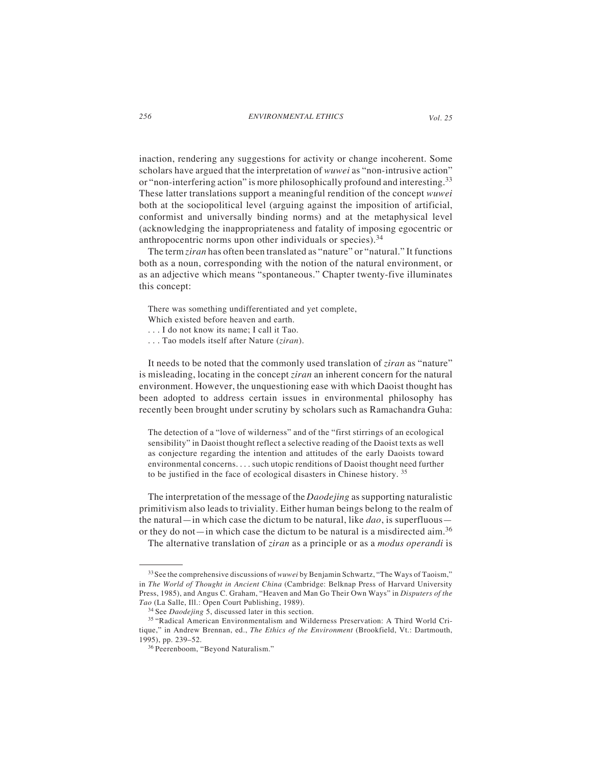#### *256 ENVIRONMENTAL ETHICS Vol. 25*

inaction, rendering any suggestions for activity or change incoherent. Some scholars have argued that the interpretation of *wuwei* as "non-intrusive action" or "non-interfering action" is more philosophically profound and interesting.<sup>33</sup> These latter translations support a meaningful rendition of the concept *wuwei* both at the sociopolitical level (arguing against the imposition of artificial, conformist and universally binding norms) and at the metaphysical level (acknowledging the inappropriateness and fatality of imposing egocentric or anthropocentric norms upon other individuals or species).  $34$ 

The term *ziran* has often been translated as "nature" or "natural." It functions both as a noun, corresponding with the notion of the natural environment, or as an adjective which means "spontaneous." Chapter twenty-five illuminates this concept:

- There was something undifferentiated and yet complete,
- Which existed before heaven and earth.
- . . . I do not know its name; I call it Tao.
- . . . Tao models itself after Nature (*ziran*).

It needs to be noted that the commonly used translation of *ziran* as "nature" is misleading, locating in the concept *ziran* an inherent concern for the natural environment. However, the unquestioning ease with which Daoist thought has been adopted to address certain issues in environmental philosophy has recently been brought under scrutiny by scholars such as Ramachandra Guha:

The detection of a "love of wilderness" and of the "first stirrings of an ecological sensibility" in Daoist thought reflect a selective reading of the Daoist texts as well as conjecture regarding the intention and attitudes of the early Daoists toward environmental concerns. . . . such utopic renditions of Daoist thought need further to be justified in the face of ecological disasters in Chinese history. <sup>35</sup>

The interpretation of the message of the *Daodejing* as supporting naturalistic primitivism also leads to triviality. Either human beings belong to the realm of the natural—in which case the dictum to be natural, like *dao*, is superfluous or they do not—in which case the dictum to be natural is a misdirected aim.<sup>36</sup>

The alternative translation of *ziran* as a principle or as a *modus operandi* is

<sup>33</sup> See the comprehensive discussions of *wuwei* by Benjamin Schwartz, "The Ways of Taoism," in *The World of Thought in Ancient China* (Cambridge: Belknap Press of Harvard University Press, 1985), and Angus C. Graham, "Heaven and Man Go Their Own Ways" in *Disputers of the Tao* (La Salle, Ill.: Open Court Publishing, 1989).

<sup>34</sup> See *Daodejing* 5, discussed later in this section.

<sup>35 &</sup>quot;Radical American Environmentalism and Wilderness Preservation: A Third World Critique," in Andrew Brennan, ed., *The Ethics of the Environment* (Brookfield, Vt.: Dartmouth, 1995), pp. 239–52.

<sup>36</sup> Peerenboom, "Beyond Naturalism."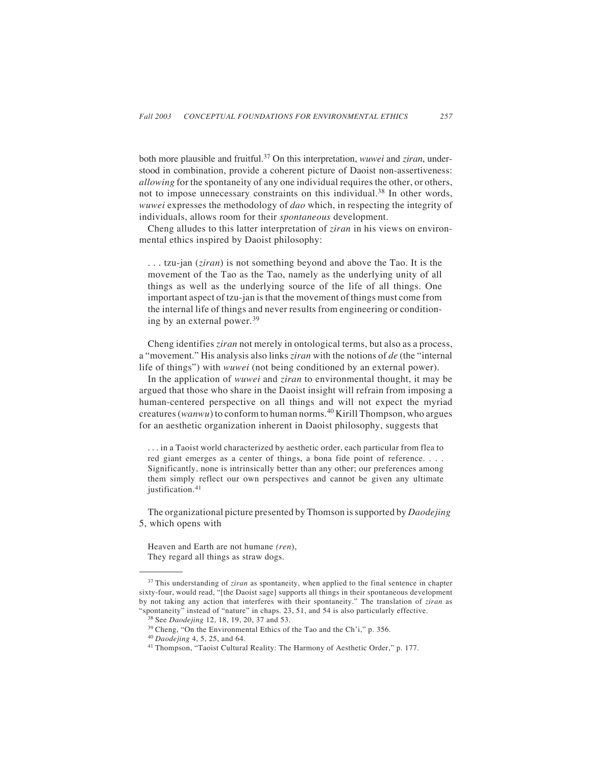both more plausible and fruitful.37 On this interpretation, *wuwei* and *ziran*, understood in combination, provide a coherent picture of Daoist non-assertiveness: *allowing* for the spontaneity of any one individual requires the other, or others, not to impose unnecessary constraints on this individual.<sup>38</sup> In other words, *wuwei* expresses the methodology of *dao* which, in respecting the integrity of individuals, allows room for their *spontaneous* development.

Cheng alludes to this latter interpretation of *ziran* in his views on environmental ethics inspired by Daoist philosophy:

. . . tzu-jan (*ziran*) is not something beyond and above the Tao. It is the movement of the Tao as the Tao, namely as the underlying unity of all things as well as the underlying source of the life of all things. One important aspect of tzu-jan is that the movement of things must come from the internal life of things and never results from engineering or conditioning by an external power.<sup>39</sup>

Cheng identifies *ziran* not merely in ontological terms, but also as a process, a "movement." His analysis also links *ziran* with the notions of *de* (the "internal life of things") with *wuwei* (not being conditioned by an external power).

In the application of *wuwei* and *ziran* to environmental thought, it may be argued that those who share in the Daoist insight will refrain from imposing a human-centered perspective on all things and will not expect the myriad creatures (*wanwu*) to conform to human norms.40 Kirill Thompson, who argues for an aesthetic organization inherent in Daoist philosophy, suggests that

. . . in a Taoist world characterized by aesthetic order, each particular from flea to red giant emerges as a center of things, a bona fide point of reference. . . . Significantly, none is intrinsically better than any other; our preferences among them simply reflect our own perspectives and cannot be given any ultimate justification.<sup>41</sup>

The organizational picture presented by Thomson is supported by *Daodejing* 5, which opens with

Heaven and Earth are not humane *(ren*), They regard all things as straw dogs.

<sup>&</sup>lt;sup>37</sup> This understanding of *ziran* as spontaneity, when applied to the final sentence in chapter sixty-four, would read, "[the Daoist sage] supports all things in their spontaneous development by not taking any action that interferes with their spontaneity." The translation of *ziran* as "spontaneity" instead of "nature" in chaps. 23, 51, and 54 is also particularly effective.

<sup>38</sup> See *Daodejing* 12, 18, 19, 20, 37 and 53.

<sup>&</sup>lt;sup>39</sup> Cheng, "On the Environmental Ethics of the Tao and the Ch'i," p. 356.

<sup>40</sup>*Daodejing* 4, 5, 25, and 64.

<sup>41</sup> Thompson, "Taoist Cultural Reality: The Harmony of Aesthetic Order," p. 177.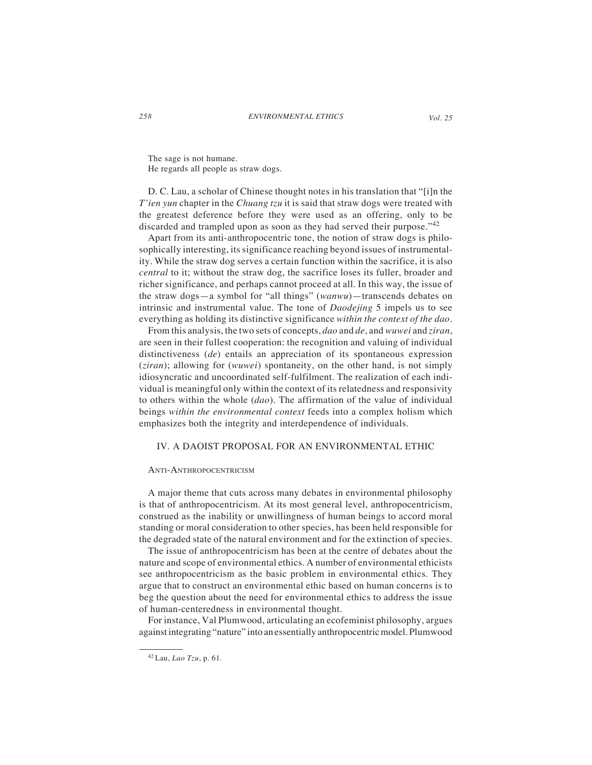The sage is not humane. He regards all people as straw dogs.

D. C. Lau, a scholar of Chinese thought notes in his translation that "[i]n the *T'ien yun* chapter in the *Chuang tzu* it is said that straw dogs were treated with the greatest deference before they were used as an offering, only to be discarded and trampled upon as soon as they had served their purpose."<sup>42</sup>

Apart from its anti-anthropocentric tone, the notion of straw dogs is philosophically interesting, its significance reaching beyond issues of instrumentality. While the straw dog serves a certain function within the sacrifice, it is also *central* to it; without the straw dog, the sacrifice loses its fuller, broader and richer significance, and perhaps cannot proceed at all. In this way, the issue of the straw dogs—a symbol for "all things" (*wanwu*)—transcends debates on intrinsic and instrumental value. The tone of *Daodejing* 5 impels us to see everything as holding its distinctive significance *within the context of the dao*.

From this analysis, the two sets of concepts, *dao* and *de*, and *wuwei* and *ziran*, are seen in their fullest cooperation: the recognition and valuing of individual distinctiveness (*de*) entails an appreciation of its spontaneous expression (*ziran*); allowing for (*wuwei*) spontaneity, on the other hand, is not simply idiosyncratic and uncoordinated self-fulfilment. The realization of each individual is meaningful only within the context of its relatedness and responsivity to others within the whole (*dao*). The affirmation of the value of individual beings *within the environmental context* feeds into a complex holism which emphasizes both the integrity and interdependence of individuals.

#### IV. A DAOIST PROPOSAL FOR AN ENVIRONMENTAL ETHIC

#### ANTI-ANTHROPOCENTRICISM

A major theme that cuts across many debates in environmental philosophy is that of anthropocentricism. At its most general level, anthropocentricism, construed as the inability or unwillingness of human beings to accord moral standing or moral consideration to other species, has been held responsible for the degraded state of the natural environment and for the extinction of species.

The issue of anthropocentricism has been at the centre of debates about the nature and scope of environmental ethics. A number of environmental ethicists see anthropocentricism as the basic problem in environmental ethics. They argue that to construct an environmental ethic based on human concerns is to beg the question about the need for environmental ethics to address the issue of human-centeredness in environmental thought.

For instance, Val Plumwood, articulating an ecofeminist philosophy, argues against integrating "nature" into an essentially anthropocentric model. Plumwood

<sup>42</sup> Lau, *Lao Tzu*, p. 61.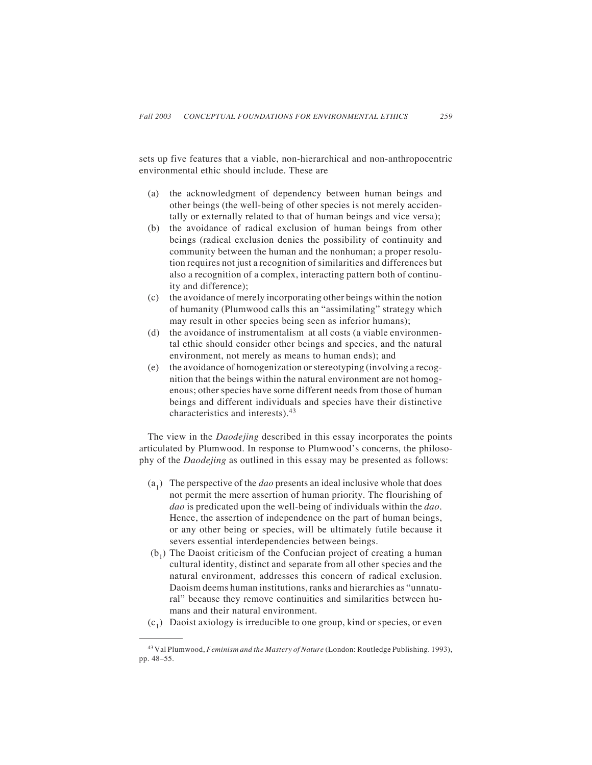sets up five features that a viable, non-hierarchical and non-anthropocentric environmental ethic should include. These are

- (a) the acknowledgment of dependency between human beings and other beings (the well-being of other species is not merely accidentally or externally related to that of human beings and vice versa);
- (b) the avoidance of radical exclusion of human beings from other beings (radical exclusion denies the possibility of continuity and community between the human and the nonhuman; a proper resolution requires not just a recognition of similarities and differences but also a recognition of a complex, interacting pattern both of continuity and difference);
- (c) the avoidance of merely incorporating other beings within the notion of humanity (Plumwood calls this an "assimilating" strategy which may result in other species being seen as inferior humans);
- (d) the avoidance of instrumentalism at all costs (a viable environmental ethic should consider other beings and species, and the natural environment, not merely as means to human ends); and
- (e) the avoidance of homogenization or stereotyping (involving a recognition that the beings within the natural environment are not homogenous; other species have some different needs from those of human beings and different individuals and species have their distinctive characteristics and interests).43

The view in the *Daodejing* described in this essay incorporates the points articulated by Plumwood. In response to Plumwood's concerns, the philosophy of the *Daodejing* as outlined in this essay may be presented as follows:

- $(a_1)$  The perspective of the *dao* presents an ideal inclusive whole that does not permit the mere assertion of human priority. The flourishing of *dao* is predicated upon the well-being of individuals within the *dao*. Hence, the assertion of independence on the part of human beings, or any other being or species, will be ultimately futile because it severs essential interdependencies between beings.
- $(b<sub>1</sub>)$  The Daoist criticism of the Confucian project of creating a human cultural identity, distinct and separate from all other species and the natural environment, addresses this concern of radical exclusion. Daoism deems human institutions, ranks and hierarchies as "unnatural" because they remove continuities and similarities between humans and their natural environment.
- $(c<sub>1</sub>)$  Daoist axiology is irreducible to one group, kind or species, or even

<sup>43</sup> Val Plumwood, *Feminism and the Mastery of Nature* (London: Routledge Publishing. 1993), pp. 48–55.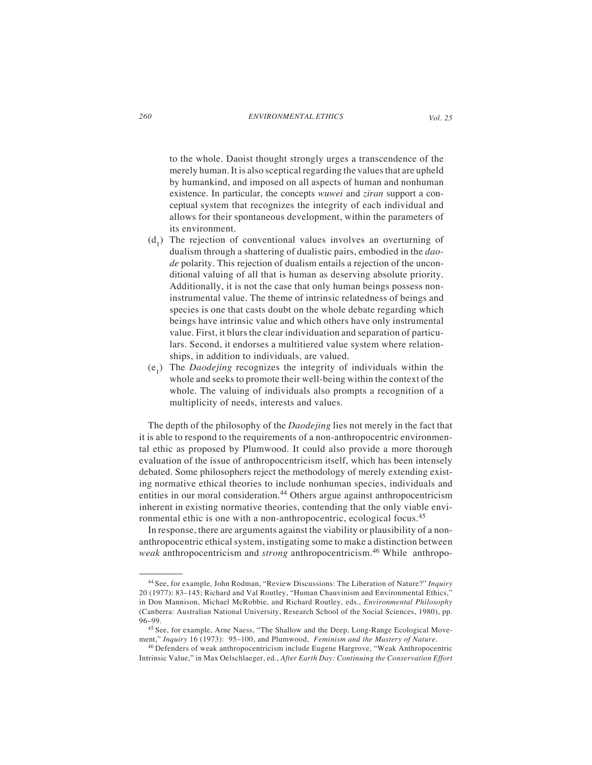to the whole. Daoist thought strongly urges a transcendence of the merely human. It is also sceptical regarding the values that are upheld by humankind, and imposed on all aspects of human and nonhuman existence. In particular, the concepts *wuwei* and *ziran* support a conceptual system that recognizes the integrity of each individual and allows for their spontaneous development, within the parameters of its environment.

- $(d_1)$  The rejection of conventional values involves an overturning of dualism through a shattering of dualistic pairs, embodied in the *daode* polarity. This rejection of dualism entails a rejection of the unconditional valuing of all that is human as deserving absolute priority. Additionally, it is not the case that only human beings possess noninstrumental value. The theme of intrinsic relatedness of beings and species is one that casts doubt on the whole debate regarding which beings have intrinsic value and which others have only instrumental value. First, it blurs the clear individuation and separation of particulars. Second, it endorses a multitiered value system where relationships, in addition to individuals, are valued.
- $(e_1)$  The *Daodejing* recognizes the integrity of individuals within the whole and seeks to promote their well-being within the context of the whole. The valuing of individuals also prompts a recognition of a multiplicity of needs, interests and values.

The depth of the philosophy of the *Daodejing* lies not merely in the fact that it is able to respond to the requirements of a non-anthropocentric environmental ethic as proposed by Plumwood. It could also provide a more thorough evaluation of the issue of anthropocentricism itself, which has been intensely debated. Some philosophers reject the methodology of merely extending existing normative ethical theories to include nonhuman species, individuals and entities in our moral consideration.<sup>44</sup> Others argue against anthropocentricism inherent in existing normative theories, contending that the only viable environmental ethic is one with a non-anthropocentric, ecological focus.<sup>45</sup>

In response, there are arguments against the viability or plausibility of a nonanthropocentric ethical system, instigating some to make a distinction between *weak* anthropocentricism and *strong* anthropocentricism.46 While anthropo-

<sup>44</sup> See, for example, John Rodman, "Review Discussions: The Liberation of Nature?" *Inquiry* 20 (1977): 83–145; Richard and Val Routley, "Human Chauvinism and Environmental Ethics," in Don Mannison, Michael McRobbie, and Richard Routley, eds., *Environmental Philosophy* (Canberra: Australian National University, Research School of the Social Sciences, 1980), pp. 96–99.

<sup>45</sup> See, for example, Arne Naess, "The Shallow and the Deep, Long-Range Ecological Movement," *Inquiry* 16 (1973): 95–100, and Plumwood, *Feminism and the Mastery of Nature*.

<sup>46</sup> Defenders of weak anthropocentricism include Eugene Hargrove, "Weak Anthropocentric Intrinsic Value," in Max Oelschlaeger, ed., *After Earth Day: Continuing the Conservation Effort*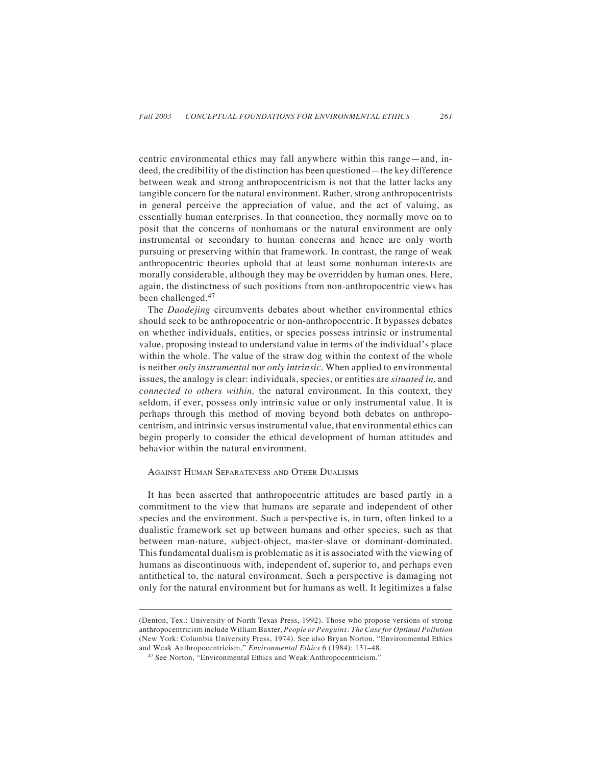centric environmental ethics may fall anywhere within this range—and, indeed, the credibility of the distinction has been questioned—the key difference between weak and strong anthropocentricism is not that the latter lacks any tangible concern for the natural environment. Rather, strong anthropocentrists in general perceive the appreciation of value, and the act of valuing, as essentially human enterprises. In that connection, they normally move on to posit that the concerns of nonhumans or the natural environment are only instrumental or secondary to human concerns and hence are only worth pursuing or preserving within that framework. In contrast, the range of weak anthropocentric theories uphold that at least some nonhuman interests are morally considerable, although they may be overridden by human ones. Here, again, the distinctness of such positions from non-anthropocentric views has been challenged.<sup>47</sup>

The *Daodejing* circumvents debates about whether environmental ethics should seek to be anthropocentric or non-anthropocentric. It bypasses debates on whether individuals, entities, or species possess intrinsic or instrumental value, proposing instead to understand value in terms of the individual's place within the whole. The value of the straw dog within the context of the whole is neither *only instrumental* nor *only intrinsic*. When applied to environmental issues, the analogy is clear: individuals, species, or entities are *situated in*, and *connected to others within,* the natural environment. In this context, they seldom, if ever, possess only intrinsic value or only instrumental value. It is perhaps through this method of moving beyond both debates on anthropocentrism, and intrinsic versus instrumental value, that environmental ethics can begin properly to consider the ethical development of human attitudes and behavior within the natural environment.

#### AGAINST HUMAN SEPARATENESS AND OTHER DUALISMS

It has been asserted that anthropocentric attitudes are based partly in a commitment to the view that humans are separate and independent of other species and the environment. Such a perspective is, in turn, often linked to a dualistic framework set up between humans and other species, such as that between man-nature, subject-object, master-slave or dominant-dominated. This fundamental dualism is problematic as it is associated with the viewing of humans as discontinuous with, independent of, superior to, and perhaps even antithetical to, the natural environment. Such a perspective is damaging not only for the natural environment but for humans as well. It legitimizes a false

<sup>(</sup>Denton, Tex.: University of North Texas Press, 1992). Those who propose versions of strong anthropocentricism include William Baxter, *People or Penguins: The Case for Optimal Pollution* (New York: Columbia University Press, 1974). See also Bryan Norton, "Environmental Ethics and Weak Anthropocentricism," *Environmental Ethics* 6 (1984): 131–48.

<sup>47</sup> See Norton, "Environmental Ethics and Weak Anthropocentricism."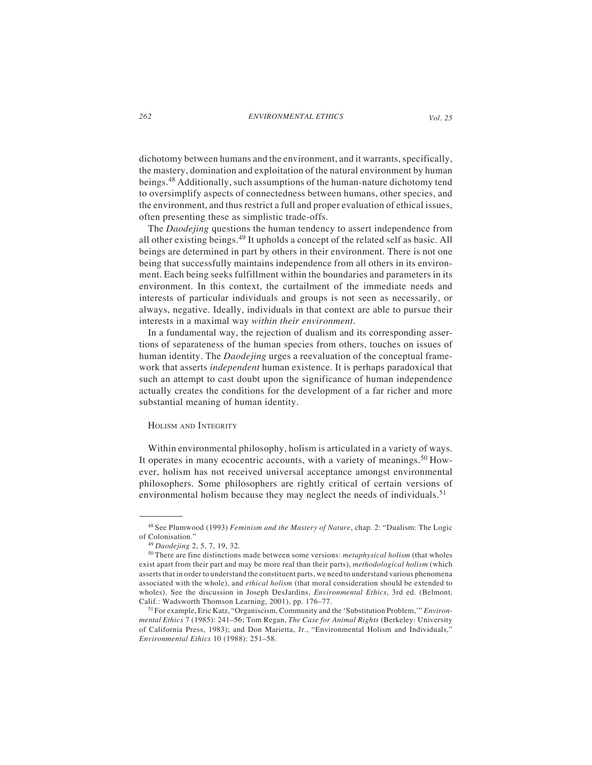dichotomy between humans and the environment, and it warrants, specifically, the mastery, domination and exploitation of the natural environment by human beings.48 Additionally, such assumptions of the human-nature dichotomy tend to oversimplify aspects of connectedness between humans, other species, and the environment, and thus restrict a full and proper evaluation of ethical issues, often presenting these as simplistic trade-offs.

The *Daodejing* questions the human tendency to assert independence from all other existing beings.49 It upholds a concept of the related self as basic. All beings are determined in part by others in their environment. There is not one being that successfully maintains independence from all others in its environment. Each being seeks fulfillment within the boundaries and parameters in its environment. In this context, the curtailment of the immediate needs and interests of particular individuals and groups is not seen as necessarily, or always, negative. Ideally, individuals in that context are able to pursue their interests in a maximal way *within their environment*.

In a fundamental way, the rejection of dualism and its corresponding assertions of separateness of the human species from others, touches on issues of human identity. The *Daodejing* urges a reevaluation of the conceptual framework that asserts *independent* human existence. It is perhaps paradoxical that such an attempt to cast doubt upon the significance of human independence actually creates the conditions for the development of a far richer and more substantial meaning of human identity.

#### HOLISM AND INTEGRITY

Within environmental philosophy, holism is articulated in a variety of ways. It operates in many ecocentric accounts, with a variety of meanings.<sup>50</sup> However, holism has not received universal acceptance amongst environmental philosophers. Some philosophers are rightly critical of certain versions of environmental holism because they may neglect the needs of individuals.<sup>51</sup>

<sup>48</sup> See Plumwood (1993) *Feminism and the Mastery of Nature*, chap. 2: "Dualism: The Logic of Colonisation.'

<sup>49</sup>*Daodejing* 2, 5, 7, 19, 32.

<sup>50</sup> There are fine distinctions made between some versions: *metaphysical holism* (that wholes exist apart from their part and may be more real than their parts), *methodological holism* (which asserts that in order to understand the constituent parts, we need to understand various phenomena associated with the whole), and *ethical holism* (that moral consideration should be extended to wholes). See the discussion in Joseph DesJardins, *Environmental Ethics*, 3rd ed. (Belmont, Calif.: Wadsworth Thomson Learning, 2001), pp. 176–77.

<sup>51</sup> For example, Eric Katz, "Organiscism, Community and the 'Substitution Problem,'" *Environmental Ethics* 7 (1985): 241–56; Tom Regan, *The Case for Animal Rights* (Berkeley: University of California Press, 1983); and Don Marietta, Jr., "Environmental Holism and Individuals," *Environmental Ethics* 10 (1988): 251–58.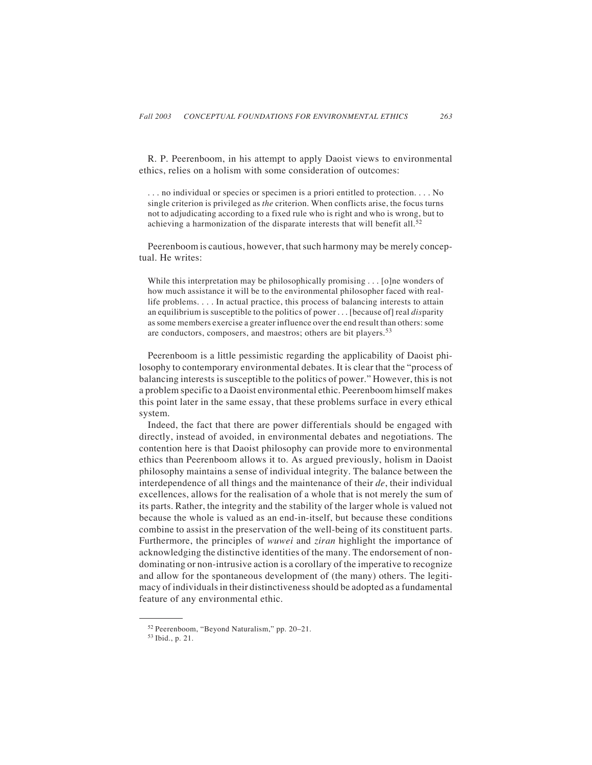R. P. Peerenboom, in his attempt to apply Daoist views to environmental ethics, relies on a holism with some consideration of outcomes:

. . . no individual or species or specimen is a priori entitled to protection. . . . No single criterion is privileged as *the* criterion. When conflicts arise, the focus turns not to adjudicating according to a fixed rule who is right and who is wrong, but to achieving a harmonization of the disparate interests that will benefit all.<sup>52</sup>

Peerenboom is cautious, however, that such harmony may be merely conceptual. He writes:

While this interpretation may be philosophically promising . . . [o]ne wonders of how much assistance it will be to the environmental philosopher faced with reallife problems. . . . In actual practice, this process of balancing interests to attain an equilibrium is susceptible to the politics of power . . . [because of] real *dis*parity as some members exercise a greater influence over the end result than others: some are conductors, composers, and maestros; others are bit players.<sup>53</sup>

Peerenboom is a little pessimistic regarding the applicability of Daoist philosophy to contemporary environmental debates. It is clear that the "process of balancing interests is susceptible to the politics of power." However, this is not a problem specific to a Daoist environmental ethic. Peerenboom himself makes this point later in the same essay, that these problems surface in every ethical system.

Indeed, the fact that there are power differentials should be engaged with directly, instead of avoided, in environmental debates and negotiations. The contention here is that Daoist philosophy can provide more to environmental ethics than Peerenboom allows it to. As argued previously, holism in Daoist philosophy maintains a sense of individual integrity. The balance between the interdependence of all things and the maintenance of their *de*, their individual excellences, allows for the realisation of a whole that is not merely the sum of its parts. Rather, the integrity and the stability of the larger whole is valued not because the whole is valued as an end-in-itself, but because these conditions combine to assist in the preservation of the well-being of its constituent parts. Furthermore, the principles of *wuwei* and *ziran* highlight the importance of acknowledging the distinctive identities of the many. The endorsement of nondominating or non-intrusive action is a corollary of the imperative to recognize and allow for the spontaneous development of (the many) others. The legitimacy of individuals in their distinctiveness should be adopted as a fundamental feature of any environmental ethic.

<sup>52</sup> Peerenboom, "Beyond Naturalism," pp. 20–21.

<sup>53</sup> Ibid., p. 21.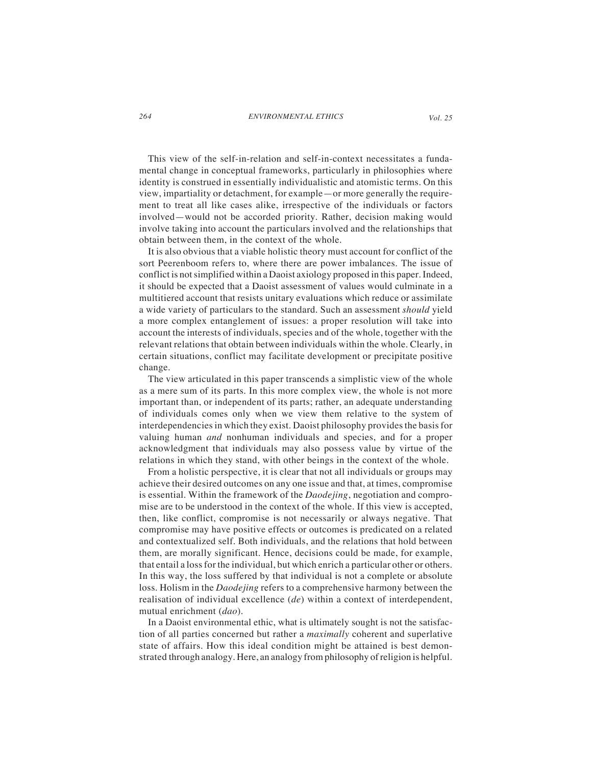#### *264 ENVIRONMENTAL ETHICS Vol. 25*

This view of the self-in-relation and self-in-context necessitates a fundamental change in conceptual frameworks, particularly in philosophies where identity is construed in essentially individualistic and atomistic terms. On this view, impartiality or detachment, for example—or more generally the requirement to treat all like cases alike, irrespective of the individuals or factors involved—would not be accorded priority. Rather, decision making would involve taking into account the particulars involved and the relationships that obtain between them, in the context of the whole.

It is also obvious that a viable holistic theory must account for conflict of the sort Peerenboom refers to, where there are power imbalances. The issue of conflict is not simplified within a Daoist axiology proposed in this paper. Indeed, it should be expected that a Daoist assessment of values would culminate in a multitiered account that resists unitary evaluations which reduce or assimilate a wide variety of particulars to the standard. Such an assessment *should* yield a more complex entanglement of issues: a proper resolution will take into account the interests of individuals, species and of the whole, together with the relevant relations that obtain between individuals within the whole. Clearly, in certain situations, conflict may facilitate development or precipitate positive change.

The view articulated in this paper transcends a simplistic view of the whole as a mere sum of its parts. In this more complex view, the whole is not more important than, or independent of its parts; rather, an adequate understanding of individuals comes only when we view them relative to the system of interdependencies in which they exist. Daoist philosophy provides the basis for valuing human *and* nonhuman individuals and species, and for a proper acknowledgment that individuals may also possess value by virtue of the relations in which they stand, with other beings in the context of the whole.

From a holistic perspective, it is clear that not all individuals or groups may achieve their desired outcomes on any one issue and that, at times, compromise is essential. Within the framework of the *Daodejing*, negotiation and compromise are to be understood in the context of the whole. If this view is accepted, then, like conflict, compromise is not necessarily or always negative. That compromise may have positive effects or outcomes is predicated on a related and contextualized self. Both individuals, and the relations that hold between them, are morally significant. Hence, decisions could be made, for example, that entail a loss for the individual, but which enrich a particular other or others. In this way, the loss suffered by that individual is not a complete or absolute loss. Holism in the *Daodejing* refers to a comprehensive harmony between the realisation of individual excellence (*de*) within a context of interdependent, mutual enrichment (*dao*).

In a Daoist environmental ethic, what is ultimately sought is not the satisfaction of all parties concerned but rather a *maximally* coherent and superlative state of affairs. How this ideal condition might be attained is best demonstrated through analogy. Here, an analogy from philosophy of religion is helpful.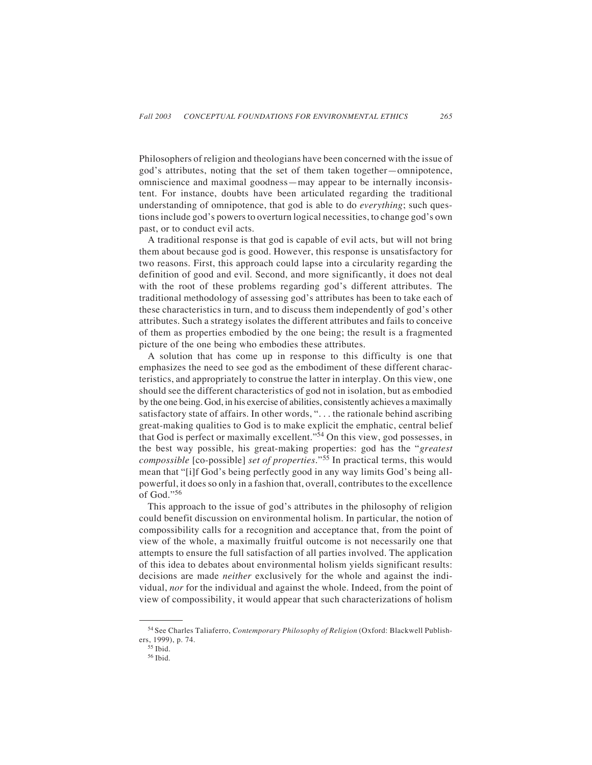Philosophers of religion and theologians have been concerned with the issue of god's attributes, noting that the set of them taken together—omnipotence, omniscience and maximal goodness—may appear to be internally inconsistent. For instance, doubts have been articulated regarding the traditional understanding of omnipotence, that god is able to do *everything*; such questions include god's powers to overturn logical necessities, to change god's own past, or to conduct evil acts.

A traditional response is that god is capable of evil acts, but will not bring them about because god is good. However, this response is unsatisfactory for two reasons. First, this approach could lapse into a circularity regarding the definition of good and evil. Second, and more significantly, it does not deal with the root of these problems regarding god's different attributes. The traditional methodology of assessing god's attributes has been to take each of these characteristics in turn, and to discuss them independently of god's other attributes. Such a strategy isolates the different attributes and fails to conceive of them as properties embodied by the one being; the result is a fragmented picture of the one being who embodies these attributes.

A solution that has come up in response to this difficulty is one that emphasizes the need to see god as the embodiment of these different characteristics, and appropriately to construe the latter in interplay. On this view, one should see the different characteristics of god not in isolation, but as embodied by the one being. God, in his exercise of abilities, consistently achieves a maximally satisfactory state of affairs. In other words, ". . . the rationale behind ascribing great-making qualities to God is to make explicit the emphatic, central belief that God is perfect or maximally excellent."54 On this view, god possesses, in the best way possible, his great-making properties: god has the "*greatest compossible* [co-possible] *set of properties.*"55 In practical terms, this would mean that "[i]f God's being perfectly good in any way limits God's being allpowerful, it does so only in a fashion that, overall, contributes to the excellence of God."<sup>56</sup>

This approach to the issue of god's attributes in the philosophy of religion could benefit discussion on environmental holism. In particular, the notion of compossibility calls for a recognition and acceptance that, from the point of view of the whole, a maximally fruitful outcome is not necessarily one that attempts to ensure the full satisfaction of all parties involved. The application of this idea to debates about environmental holism yields significant results: decisions are made *neither* exclusively for the whole and against the individual, *nor* for the individual and against the whole. Indeed, from the point of view of compossibility, it would appear that such characterizations of holism

<sup>54</sup> See Charles Taliaferro, *Contemporary Philosophy of Religion* (Oxford: Blackwell Publishers, 1999), p. 74.

<sup>55</sup> Ibid.

<sup>56</sup> Ibid*.*